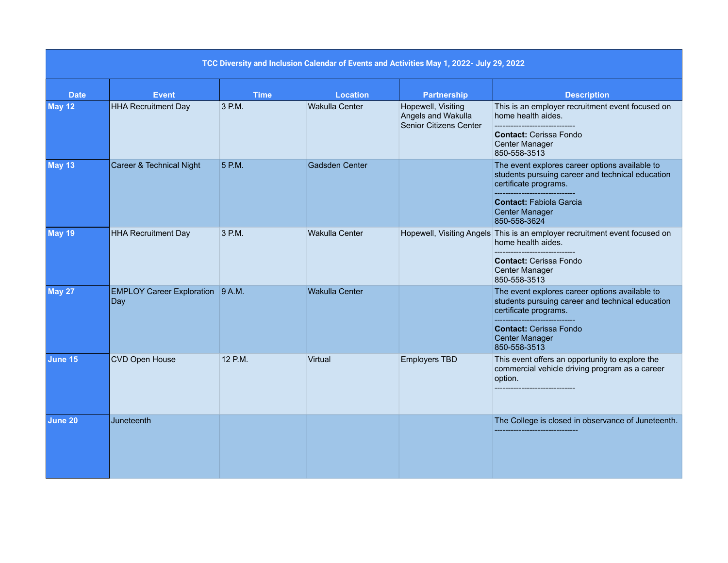| TCC Diversity and Inclusion Calendar of Events and Activities May 1, 2022- July 29, 2022 |                                         |             |                       |                                                                    |                                                                                                                                                                                                        |  |  |  |  |
|------------------------------------------------------------------------------------------|-----------------------------------------|-------------|-----------------------|--------------------------------------------------------------------|--------------------------------------------------------------------------------------------------------------------------------------------------------------------------------------------------------|--|--|--|--|
| <b>Date</b>                                                                              | <b>Event</b>                            | <b>Time</b> | <b>Location</b>       | <b>Partnership</b>                                                 | <b>Description</b>                                                                                                                                                                                     |  |  |  |  |
| <b>May 12</b>                                                                            | <b>HHA Recruitment Day</b>              | 3 P.M.      | <b>Wakulla Center</b> | Hopewell, Visiting<br>Angels and Wakulla<br>Senior Citizens Center | This is an employer recruitment event focused on<br>home health aides.<br><b>Contact: Cerissa Fondo</b><br>Center Manager<br>850-558-3513                                                              |  |  |  |  |
| <b>May 13</b>                                                                            | Career & Technical Night                | 5 P.M.      | <b>Gadsden Center</b> |                                                                    | The event explores career options available to<br>students pursuing career and technical education<br>certificate programs.<br><b>Contact: Fabiola Garcia</b><br><b>Center Manager</b><br>850-558-3624 |  |  |  |  |
| <b>May 19</b>                                                                            | <b>HHA Recruitment Day</b>              | 3 P.M.      | Wakulla Center        |                                                                    | Hopewell, Visiting Angels This is an employer recruitment event focused on<br>home health aides.<br><b>Contact: Cerissa Fondo</b><br>Center Manager<br>850-558-3513                                    |  |  |  |  |
| <b>May 27</b>                                                                            | EMPLOY Career Exploration 9 A.M.<br>Day |             | <b>Wakulla Center</b> |                                                                    | The event explores career options available to<br>students pursuing career and technical education<br>certificate programs.<br><b>Contact: Cerissa Fondo</b><br><b>Center Manager</b><br>850-558-3513  |  |  |  |  |
| June 15                                                                                  | CVD Open House                          | 12 P.M.     | Virtual               | <b>Employers TBD</b>                                               | This event offers an opportunity to explore the<br>commercial vehicle driving program as a career<br>option.                                                                                           |  |  |  |  |
| June 20                                                                                  | Juneteenth                              |             |                       |                                                                    | The College is closed in observance of Juneteenth.                                                                                                                                                     |  |  |  |  |